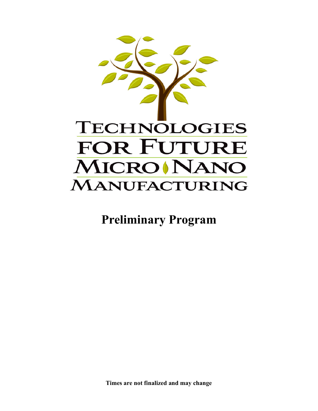

**Preliminary Program**

**Times are not finalized and may change**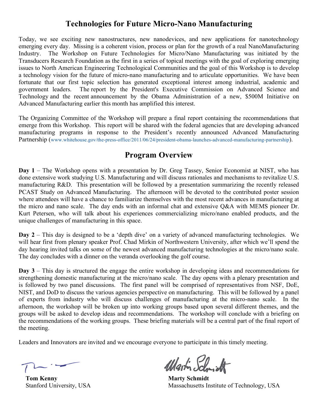# **Technologies for Future Micro-Nano Manufacturing**

Today, we see exciting new nanostructures, new nanodevices, and new applications for nanotechnology emerging every day. Missing is a coherent vision, process or plan for the growth of a real NanoManufacturing Industry. The Workshop on Future Technologies for Micro/Nano Manufacturing was initiated by the Transducers Research Foundation as the first in a series of topical meetings with the goal of exploring emerging issues to North American Engineering Technological Communities and the goal of this Workshop is to develop a technology vision for the future of micro-nano manufacturing and to articulate opportunities. We have been fortunate that our first topic selection has generated exceptional interest among industrial, academic and government leaders. The report by the President's Executive Commission on Advanced Science and Technology and the recent announcement by the Obama Administration of a new, \$500M Initiative on Advanced Manufacturing earlier this month has amplified this interest.

The Organizing Committee of the Workshop will prepare a final report containing the recommendations that emerge from this Workshop. This report will be shared with the federal agencies that are developing advanced manufacturing programs in response to the President's recently announced Advanced Manufacturing Partnership (www.whitehouse.gov/the-press-office/2011/06/24/president-obama-launches-advanced-manufacturing-partnership).

# **Program Overview**

**Day 1** – The Workshop opens with a presentation by Dr. Greg Tassey, Senior Economist at NIST, who has done extensive work studying U.S. Manufacturing and will discuss rationales and mechanisms to revitalize U.S. manufacturing R&D. This presentation will be followed by a presentation summarizing the recently released PCAST Study on Advanced Manufacturing. The afternoon will be devoted to the contributed poster session where attendees will have a chance to familiarize themselves with the most recent advances in manufacturing at the micro and nano scale. The day ends with an informal chat and extensive Q&A with MEMS pioneer Dr. Kurt Petersen, who will talk about his experiences commercializing micro/nano enabled products, and the unique challenges of manufacturing in this space.

**Day 2** – This day is designed to be a 'depth dive' on a variety of advanced manufacturing technologies. We will hear first from plenary speaker Prof. Chad Mirkin of Northwestern University, after which we'll spend the day hearing invited talks on some of the newest advanced manufacturing technologies at the micro/nano scale. The day concludes with a dinner on the veranda overlooking the golf course.

**Day 3** – This day is structured the engage the entire workshop in developing ideas and recommendations for strengthening domestic manufacturing at the micro/nano scale. The day opens with a plenary presentation and is followed by two panel discussions. The first panel will be comprised of representatives from NSF, DoE, NIST, and DoD to discuss the various agencies perspective on manufacturing. This will be followed by a panel of experts from industry who will discuss challenges of manufacturing at the micro-nano scale. In the afternoon, the workshop will be broken up into working groups based upon several different themes, and the groups will be asked to develop ideas and recommendations. The workshop will conclude with a briefing on the recommendations of the working groups. These briefing materials will be a central part of the final report of the meeting.

Leaders and Innovators are invited and we encourage everyone to participate in this timely meeting.

**Tom Kenny Marty Schmidt** 

Wartin Schnickt

Stanford University, USA Massachusetts Institute of Technology, USA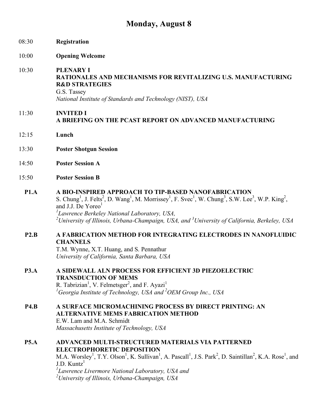# **Monday, August 8**

| 08:30       | Registration                                                                                                                                                                                                                                                                                                                                                                                                                                                                     |
|-------------|----------------------------------------------------------------------------------------------------------------------------------------------------------------------------------------------------------------------------------------------------------------------------------------------------------------------------------------------------------------------------------------------------------------------------------------------------------------------------------|
| 10:00       | <b>Opening Welcome</b>                                                                                                                                                                                                                                                                                                                                                                                                                                                           |
| 10:30       | <b>PLENARY I</b><br><b>RATIONALES AND MECHANISMS FOR REVITALIZING U.S. MANUFACTURING</b><br><b>R&amp;D STRATEGIES</b><br>G.S. Tassey<br>National Institute of Standards and Technology (NIST), USA                                                                                                                                                                                                                                                                               |
| 11:30       | <b>INVITED I</b><br>A BRIEFING ON THE PCAST REPORT ON ADVANCED MANUFACTURING                                                                                                                                                                                                                                                                                                                                                                                                     |
| 12:15       | Lunch                                                                                                                                                                                                                                                                                                                                                                                                                                                                            |
| 13:30       | <b>Poster Shotgun Session</b>                                                                                                                                                                                                                                                                                                                                                                                                                                                    |
| 14:50       | <b>Poster Session A</b>                                                                                                                                                                                                                                                                                                                                                                                                                                                          |
| 15:50       | <b>Poster Session B</b>                                                                                                                                                                                                                                                                                                                                                                                                                                                          |
| P1.A        | A BIO-INSPIRED APPROACH TO TIP-BASED NANOFABRICATION<br>S. Chung <sup>1</sup> , J. Felts <sup>2</sup> , D. Wang <sup>1</sup> , M. Morrissey <sup>1</sup> , F. Svec <sup>1</sup> , W. Chung <sup>3</sup> , S.W. Lee <sup>3</sup> , W.P. King <sup>2</sup> ,<br>and J.J. De Yoreo <sup>1</sup><br><sup>1</sup> Lawrence Berkeley National Laboratory, USA,<br><sup>2</sup> University of Illinois, Urbana-Champaign, USA, and <sup>3</sup> University of California, Berkeley, USA |
| P2.B        | A FABRICATION METHOD FOR INTEGRATING ELECTRODES IN NANOFLUIDIC<br><b>CHANNELS</b><br>T.M. Wynne, X.T. Huang, and S. Pennathur<br>University of California, Santa Barbara, USA                                                                                                                                                                                                                                                                                                    |
| <b>P3.A</b> | A SIDEWALL ALN PROCESS FOR EFFICIENT 3D PIEZOELECTRIC<br><b>TRANSDUCTION OF MEMS</b><br>R. Tabrizian <sup>1</sup> , V. Felmetsger <sup>2</sup> , and F. Ayazi <sup>1</sup><br><sup>1</sup> Georgia Institute of Technology, USA and <sup>2</sup> OEM Group Inc., USA                                                                                                                                                                                                             |
| <b>P4.B</b> | A SURFACE MICROMACHINING PROCESS BY DIRECT PRINTING: AN<br><b>ALTERNATIVE MEMS FABRICATION METHOD</b><br>E.W. Lam and M.A. Schmidt<br>Massachusetts Institute of Technology, USA                                                                                                                                                                                                                                                                                                 |
| <b>P5.A</b> | ADVANCED MULTI-STRUCTURED MATERIALS VIA PATTERNED<br><b>ELECTROPHORETIC DEPOSITION</b><br>M.A. Worsley <sup>1</sup> , T.Y. Olson <sup>1</sup> , K. Sullivan <sup>1</sup> , A. Pascall <sup>1</sup> , J.S. Park <sup>2</sup> , D. Saintillan <sup>2</sup> , K.A. Rose <sup>1</sup> , and<br>$J.D.$ Kuntz <sup>1</sup><br><sup>1</sup> Lawrence Livermore National Laboratory, USA and                                                                                             |

*2 University of Illinois, Urbana-Champaign, USA*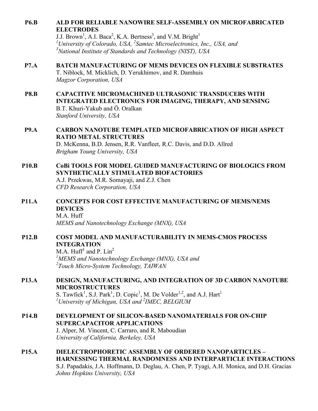## **P6.B ALD FOR RELIABLE NANOWIRE SELF-ASSEMBLY ON MICROFABRICATED ELECTRODES**

J.J. Brown<sup>1</sup>, A.I. Baca<sup>2</sup>, K.A. Bertness<sup>3</sup>, and V.M. Bright<sup>1</sup> *1 University of Colorado, USA, <sup>2</sup> Samtec Microelectronics, Inc., USA, and 3 National Institute of Standards and Technology (NIST), USA*

## **P7.A BATCH MANUFACTURING OF MEMS DEVICES ON FLEXIBLE SUBSTRATES**

T. Niblock, M. Micklich, D. Yerukhimov, and R. Damhuis *Magzor Corporation, USA*

- **P8.B CAPACITIVE MICROMACHINED ULTRASONIC TRANSDUCERS WITH INTEGRATED ELECTRONICS FOR IMAGING, THERAPY, AND SENSING** B.T. Khuri-Yakub and Ö. Oralkan *Stanford University, USA*
- **P9.A CARBON NANOTUBE TEMPLATED MICROFABRICATION OF HIGH ASPECT RATIO METAL STRUCTURES**

D. McKenna, B.D. Jensen, R.R. Vanfleet, R.C. Davis, and D.D. Allred *Brigham Young University, USA*

# **P10.B CoBi TOOLS FOR MODEL GUIDED MANUFACTURING OF BIOLOGICS FROM SYNTHETICALLY STIMULATED BIOFACTORIES**

A.J. Przekwas, M.R. Somayaji, and Z.J. Chen *CFD Research Corporation, USA*

**P11.A CONCEPTS FOR COST EFFECTIVE MANUFACTURING OF MEMS/NEMS DEVICES** M.A. Huff

*MEMS and Nanotechnology Exchange (MNX), USA*

#### **P12.B COST MODEL AND MANUFACTURABILITY IN MEMS-CMOS PROCESS INTEGRATION**

M.A. Huff<sup>1</sup> and P.  $Lin<sup>2</sup>$ *1 MEMS and Nanotechnology Exchange (MNX), USA and 2 Touch Micro-System Technology, TAIWAN*

# **P13.A DESIGN, MANUFACTURING, AND INTEGRATION OF 3D CARBON NANOTUBE MICROSTRUCTURES**

S. Tawfick<sup>1</sup>, S.J. Park<sup>1</sup>, D. Copic<sup>1</sup>, M. De Volder<sup>1,2</sup>, and A.J. Hart<sup>1</sup> *1 University of Michigan, USA and <sup>2</sup> IMEC, BELGIUM*

**P14.B DEVELOPMENT OF SILICON-BASED NANOMATERIALS FOR ON-CHIP SUPERCAPACITOR APPLICATIONS** J. Alper, M. Vincent, C. Carraro, and R. Maboudian *University of California, Berkeley, USA*

#### **P15.A DIELECTROPHORETIC ASSEMBLY OF ORDERED NANOPARTICLES – HARNESSING THERMAL RANDOMNESS AND INTERPARTICLE INTERACTIONS** S.J. Papadakis, J.A. Hoffmann, D. Deglau, A. Chen, P. Tyagi, A.H. Monica, and D.H. Gracias *Johns Hopkins University, USA*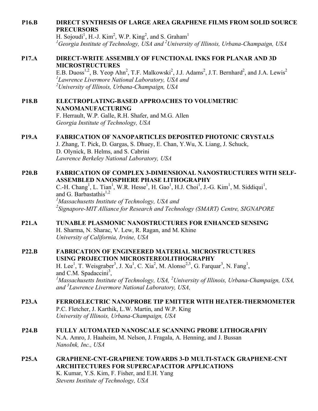# **P16.B DIRECT SYNTHESIS OF LARGE AREA GRAPHENE FILMS FROM SOLID SOURCE PRECURSORS**

H. Sojoudi<sup>1</sup>, H.-J. Kim<sup>2</sup>, W.P. King<sup>2</sup>, and S. Graham<sup>1</sup> *1 Georgia Institute of Technology, USA and <sup>2</sup> University of Illinois, Urbana-Champaign, USA*

#### **P17.A DIRECT-WRITE ASSEMBLY OF FUNCTIONAL INKS FOR PLANAR AND 3D MICROSTRUCTURES**

E.B. Duoss<sup>1,2</sup>, B. Yeop Ahn<sup>2</sup>, T.F. Malkowski<sup>2</sup>, J.J. Adams<sup>2</sup>, J.T. Bernhard<sup>2</sup>, and J.A. Lewis<sup>2</sup> *1 Lawrence Livermore National Laboratory, USA and 2 University of Illinois, Urbana-Champaign, USA*

**P18.B ELECTROPLATING-BASED APPROACHES TO VOLUMETRIC NANOMANUFACTURING** F. Herrault, W.P. Galle, R.H. Shafer, and M.G. Allen

*Georgia Institute of Technology, USA*

# **P19.A FABRICATION OF NANOPARTICLES DEPOSITED PHOTONIC CRYSTALS**

J. Zhang, T. Pick, D. Gargas, S. Dhuey, E. Chan, Y.Wu, X. Liang, J. Schuck, D. Olynick, B. Helms, and S. Cabrini *Lawrence Berkeley National Laboratory, USA*

# **P20.B FABRICATION OF COMPLEX 3-DIMENSIONAL NANOSTRUCTURES WITH SELF-ASSEMBLED NANOSPHERE PHASE LITHOGRAPHY**

C.-H. Chang<sup>1</sup>, L. Tian<sup>1</sup>, W.R. Hesse<sup>1</sup>, H. Gao<sup>1</sup>, H.J. Choi<sup>1</sup>, J.-G. Kim<sup>1</sup>, M. Siddiqui<sup>1</sup>, and G. Barbastathis<sup>1,2</sup> *1 Massachusetts Institute of Technology, USA and 2 Signapore-MIT Alliance for Research and Technology (SMART) Centre, SIGNAPORE*

#### **P21.A TUNABLE PLASMONIC NANOSTRUCTURES FOR ENHANCED SENSING**

H. Sharma, N. Sharac, V. Lew, R. Ragan, and M. Khine *University of California, Irvine, USA*

#### **P22.B FABRICATION OF ENGINEERED MATERIAL MICROSTRUCTURES USING PROJECTION MICROSTEREOLITHOGRAPHY**

H. Lee<sup>1</sup>, T. Weisgraber<sup>3</sup>, J. Xu<sup>1</sup>, C. Xia<sup>2</sup>, M. Alonso<sup>2,3</sup>, G. Farquar<sup>3</sup>, N. Fang<sup>1</sup>, and C.M. Spadaccini<sup>3</sup>, *Massachusetts Institute of Technology, USA, <sup>2</sup> University of Illinois, Urbana-Champaign, USA, and <sup>3</sup> Lawrence Livermore National Laboratory, USA,*

- **P23.A FERROELECTRIC NANOPROBE TIP EMITTER WITH HEATER-THERMOMETER** P.C. Fletcher, J. Karthik, L.W. Martin, and W.P. King *University of Illinois, Urbana-Champaign, USA*
- **P24.B FULLY AUTOMATED NANOSCALE SCANNING PROBE LITHOGRAPHY** N.A. Amro, J. Haaheim, M. Nelson, J. Fragala, A. Henning, and J. Bussan *NanoInk, Inc., USA*
- **P25.A GRAPHENE-CNT-GRAPHENE TOWARDS 3-D MULTI-STACK GRAPHENE-CNT ARCHITECTURES FOR SUPERCAPACITOR APPLICATIONS** K. Kumar, Y.S. Kim, F. Fisher, and E.H. Yang *Stevens Institute of Technology, USA*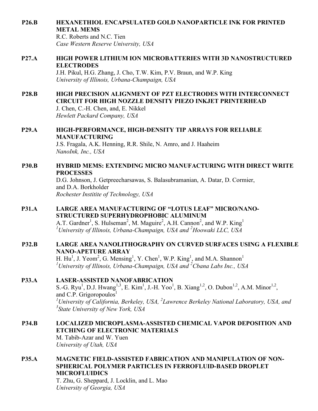#### **P26.B HEXANETHIOL ENCAPSULATED GOLD NANOPARTICLE INK FOR PRINTED METAL MEMS**

R.C. Roberts and N.C. Tien *Case Western Reserve University, USA*

#### **P27.A HIGH POWER LITHIUM ION MICROBATTERIES WITH 3D NANOSTRUCTURED ELECTRODES**

J.H. Pikul, H.G. Zhang, J. Cho, T.W. Kim, P.V. Braun, and W.P. King *University of Illinois, Urbana-Champaign, USA*

#### **P28.B HIGH PRECISION ALIGNMENT OF PZT ELECTRODES WITH INTERCONNECT CIRCUIT FOR HIGH NOZZLE DENSITY PIEZO INKJET PRINTERHEAD**

J. Chen, C.-H. Chen, and, E. Nikkel *Hewlett Packard Company, USA*

# **P29.A HIGH-PERFORMANCE, HIGH-DENSITY TIP ARRAYS FOR RELIABLE MANUFACTURING**

J.S. Fragala, A.K. Henning, R.R. Shile, N. Amro, and J. Haaheim *NanoInk, Inc., USA*

## **P30.B HYBRID MEMS: EXTENDING MICRO MANUFACTURING WITH DIRECT WRITE PROCESSES**

D.G. Johnson, J. Getpreecharsawas, S. Balasubramanian, A. Datar, D. Cormier, and D.A. Borkholder *Rochester Institite of Technology, USA*

# **P31.A LARGE AREA MANUFACTURING OF "LOTUS LEAF" MICRO/NANO-STRUCTURED SUPERHYDROPHOBIC ALUMINUM**

A.T. Gardner<sup>1</sup>, S. Hulseman<sup>2</sup>, M. Maguire<sup>2</sup>, A.H. Cannon<sup>2</sup>, and W.P. King<sup>1</sup> *1 University of Illinois, Urbana-Champaign, USA and <sup>2</sup> Hoowaki LLC, USA*

# **P32.B LARGE AREA NANOLITHOGRAPHY ON CURVED SURFACES USING A FLEXIBLE NANO-APETURE ARRAY**

H. Hu<sup>1</sup>, J. Yeom<sup>2</sup>, G. Mensing<sup>1</sup>, Y. Chen<sup>1</sup>, W.P. King<sup>1</sup>, and M.A. Shannon<sup>1</sup> *1 University of Illinois, Urbana-Champaign, USA and <sup>2</sup> Cbana Labs Inc., USA*

# **P33.A LASER-ASSISTED NANOFABRICATION**

S.-G. Ryu<sup>1</sup>, D.J. Hwang<sup>1,3</sup>, E. Kim<sup>1</sup>, J.-H. Yoo<sup>1</sup>, B. Xiang<sup>1,2</sup>, O. Dubon<sup>1,2</sup>, A.M. Minor<sup>1,2</sup>, and C.P. Grigoropoulos<sup>1</sup> *1 University of California, Berkeley, USA, <sup>2</sup> Lawrence Berkeley National Laboratory, USA, and 3 State University of New York, USA*

# **P34.B LOCALIZED MICROPLASMA-ASSISTED CHEMICAL VAPOR DEPOSITION AND ETCHING OF ELECTRONIC MATERIALS**

M. Tabib-Azar and W. Yuen *University of Utah, USA*

# **P35.A MAGNETIC FIELD-ASSISTED FABRICATION AND MANIPULATION OF NON-SPHERICAL POLYMER PARTICLES IN FERROFLUID-BASED DROPLET MICROFLUIDICS**

T. Zhu, G. Sheppard, J. Locklin, and L. Mao *University of Georgia, USA*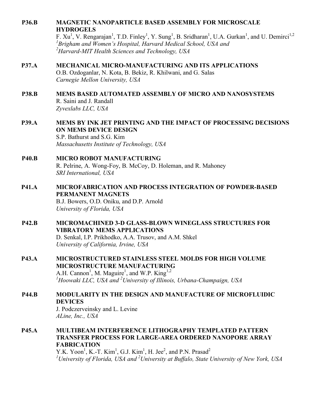#### **P36.B MAGNETIC NANOPARTICLE BASED ASSEMBLY FOR MICROSCALE HYDROGELS**

F.  $Xu^1$ , V. Rengarajan<sup>1</sup>, T.D. Finley<sup>1</sup>, Y. Sung<sup>1</sup>, B. Sridharan<sup>1</sup>, U.A. Gurkan<sup>1</sup>, and U. Demirci<sup>1,2</sup> *1 Brigham and Women's Hospital, Harvard Medical School, USA and 2 Harvard-MIT Health Sciences and Technology, USA*

#### **P37.A MECHANICAL MICRO-MANUFACTURING AND ITS APPLICATIONS**

O.B. Ozdoganlar, N. Kota, B. Bekiz, R. Khilwani, and G. Salas *Carnegie Mellon University, USA*

# **P38.B MEMS BASED AUTOMATED ASSEMBLY OF MICRO AND NANOSYSTEMS** R. Saini and J. Randall

*Zyvexlabs LLC, USA*

# **P39.A MEMS BY INK JET PRINTING AND THE IMPACT OF PROCESSING DECISIONS ON MEMS DEVICE DESIGN** S.P. Bathurst and S.G. Kim

*Massachusetts Institute of Technology, USA*

### **P40.B MICRO ROBOT MANUFACTURING** R. Pelrine, A. Wong-Foy, B. McCoy, D. Holeman, and R. Mahoney *SRI International, USA*

# **P41.A MICROFABRICATION AND PROCESS INTEGRATION OF POWDER-BASED PERMANENT MAGNETS** B.J. Bowers, O.D. Oniku, and D.P. Arnold

*University of Florida, USA*

# **P42.B MICROMACHINED 3-D GLASS-BLOWN WINEGLASS STRUCTURES FOR VIBRATORY MEMS APPLICATIONS**

D. Senkal, I.P. Prikhodko, A.A. Trusov, and A.M. Shkel *University of California, Irvine, USA*

# **P43.A MICROSTRUCTURED STAINLESS STEEL MOLDS FOR HIGH VOLUME MICROSTRUCTURE MANUFACTURING**

A.H. Cannon<sup>1</sup>, M. Maguire<sup>1</sup>, and W.P. King<sup>1,2</sup> *1 Hoowaki LLC, USA and <sup>2</sup> University of Illinois, Urbana-Champaign, USA*

# **P44.B MODULARITY IN THE DESIGN AND MANUFACTURE OF MICROFLUIDIC DEVICES**

J. Podczerveinsky and L. Levine *ALine, Inc., USA*

**P45.A MULTIBEAM INTERFERENCE LITHOGRAPHY TEMPLATED PATTERN TRANSFER PROCESS FOR LARGE-AREA ORDERED NANOPORE ARRAY FABRICATION**

Y.K. Yoon<sup>1</sup>, K.-T. Kim<sup>1</sup>, G.J. Kim<sup>1</sup>, H. Jee<sup>2</sup>, and P.N. Prasad<sup>2</sup> *1 University of Florida, USA and <sup>2</sup> University at Buffalo, State University of New York, USA*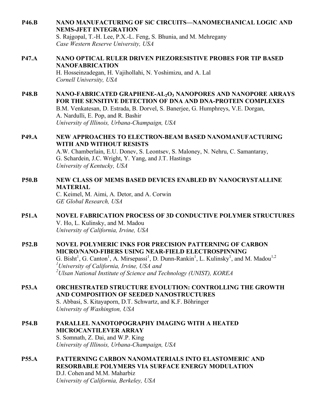**P46.B NANO MANUFACTURING OF SiC CIRCUITS—NANOMECHANICAL LOGIC AND NEMS-JFET INTEGRATION**

S. Rajgopal, T.-H. Lee, P.X.-L. Feng, S. Bhunia, and M. Mehregany *Case Western Reserve University, USA*

# **P47.A NANO OPTICAL RULER DRIVEN PIEZORESISTIVE PROBES FOR TIP BASED NANOFABRICATION** H. Hosseinzadegan, H. Vajihollahi, N. Yoshimizu, and A. Lal

*Cornell University, USA*

#### **P48.B NANO-FABRICATED GRAPHENE-AL2O3 NANOPORES AND NANOPORE ARRAYS FOR THE SENSITIVE DETECTION OF DNA AND DNA-PROTEIN COMPLEXES** B.M. Venkatesan, D. Estrada, B. Dorvel, S. Banerjee, G. Humphreys, V.E. Dorgan, A. Nardulli, E. Pop, and R. Bashir *University of Illinois, Urbana-Champaign, USA*

#### **P49.A NEW APPROACHES TO ELECTRON-BEAM BASED NANOMANUFACTURING WITH AND WITHOUT RESISTS** A.W. Chamberlain, E.U. Donev, S. Leontsev, S. Maloney, N. Nehru, C. Samantaray,

G. Schardein, J.C. Wright, Y. Yang, and J.T. Hastings *University of Kentucky, USA*

# **P50.B NEW CLASS OF MEMS BASED DEVICES ENABLED BY NANOCRYSTALLINE MATERIAL**

C. Keimel, M. Aimi, A. Detor, and A. Corwin *GE Global Research, USA*

#### **P51.A NOVEL FABRICATION PROCESS OF 3D CONDUCTIVE POLYMER STRUCTURES** V. Ho, L. Kulinsky, and M. Madou *University of California, Irvine, USA*

## **P52.B NOVEL POLYMERIC INKS FOR PRECISION PATTERNING OF CARBON MICRO/NANO-FIBERS USING NEAR-FIELD ELECTROSPINNING** G. Bisht<sup>1</sup>, G. Canton<sup>1</sup>, A. Mirsepassi<sup>1</sup>, D. Dunn-Rankin<sup>1</sup>, L. Kulinsky<sup>1</sup>, and M. Madou<sup>1,2</sup> *1 University of California, Irvine, USA and 2 Ulsan National Institute of Science and Technology (UNIST), KOREA*

#### **P53.A ORCHESTRATED STRUCTURE EVOLUTION: CONTROLLING THE GROWTH AND COMPOSITION OF SEEDED NANOSTRUCTURES** S. Abbasi, S. Kitayaporn, D.T. Schwartz, and K.F. Böhringer *University of Washington, USA*

#### **P54.B PARALLEL NANOTOPOGRAPHY IMAGING WITH A HEATED MICROCANTILEVER ARRAY** S. Somnath, Z. Dai, and W.P. King

*University of Illinois, Urbana-Champaign, USA*

#### **P55.A PATTERNING CARBON NANOMATERIALS INTO ELASTOMERIC AND RESORBABLE POLYMERS VIA SURFACE ENERGY MODULATION** D.J. Cohen and M.M. Maharbiz *University of California, Berkeley, USA*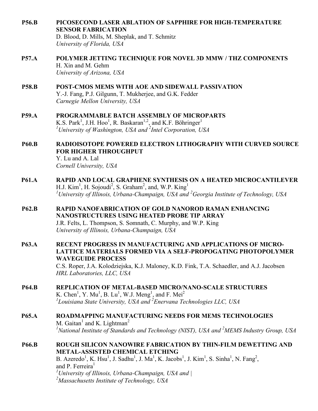**P56.B PICOSECOND LASER ABLATION OF SAPPHIRE FOR HIGH-TEMPERATURE SENSOR FABRICATION**

D. Blood, D. Mills, M. Sheplak, and T. Schmitz *University of Florida, USA*

- **P57.A POLYMER JETTING TECHNIQUE FOR NOVEL 3D MMW / THZ COMPONENTS** H. Xin and M. Gehm *University of Arizona, USA*
- **P58.B POST-CMOS MEMS WITH AOE AND SIDEWALL PASSIVATION** Y.-J. Fang, P.J. Gilgunn, T. Mukherjee, and G.K. Fedder *Carnegie Mellon University, USA*
- **P59.A PROGRAMMABLE BATCH ASSEMBLY OF MICROPARTS** K.S. Park<sup>1</sup>, J.H. Hoo<sup>1</sup>, R. Baskaran<sup>1,2</sup>, and K.F. Böhringer<sup>1</sup> *1 University of Washington, USA and <sup>2</sup> Intel Corporation, USA*
- **P60.B RADIOISOTOPE POWERED ELECTRON LITHOGRAPHY WITH CURVED SOURCE FOR HIGHER THROUGHPUT**

Y. Lu and A. Lal *Cornell University, USA*

- **P61.A RAPID AND LOCAL GRAPHENE SYNTHESIS ON A HEATED MICROCANTILEVER** H.J. Kim<sup>1</sup>, H. Sojoudi<sup>2</sup>, S. Graham<sup>2</sup>, and, W.P. King<sup>1</sup> *1 University of Illinois, Urbana-Champaign, USA and <sup>2</sup> Georgia Institute of Technology, USA*
- **P62.B RAPID NANOFABRICATION OF GOLD NANOROD RAMAN ENHANCING NANOSTRUCTURES USING HEATED PROBE TIP ARRAY** J.R. Felts, L. Thompson, S. Somnath, C. Murphy, and W.P. King *University of Illinois, Urbana-Champaign, USA*
- **P63.A RECENT PROGRESS IN MANUFACTURING AND APPLICATIONS OF MICRO-LATTICE MATERIALS FORMED VIA A SELF-PROPOGATING PHOTOPOLYMER WAVEGUIDE PROCESS**

C.S. Roper, J.A. Kolodziejska, K.J. Maloney, K.D. Fink, T.A. Schaedler, and A.J. Jacobsen *HRL Laboratories, LLC, USA*

- **P64.B REPLICATION OF METAL-BASED MICRO/NANO-SCALE STRUCTURES** K. Chen<sup>1</sup>, Y. Mu<sup>1</sup>, B. Lu<sup>1</sup>, W.J. Meng<sup>1</sup>, and F. Mei<sup>2</sup> *1 Louisiana State University, USA and <sup>2</sup> Enervana Technologies LLC, USA*
- **P65.A ROADMAPPING MANUFACTURING NEEDS FOR MEMS TECHNOLOGIES** M. Gaitan<sup>1</sup> and K. Lightman<sup>2</sup> *1 National Institute of Standards and Technology (NIST), USA and <sup>2</sup> MEMS Industry Group, USA*
- **P66.B ROUGH SILICON NANOWIRE FABRICATION BY THIN-FILM DEWETTING AND METAL-ASSISTED CHEMICAL ETCHING**

B. Azeredo<sup>1</sup>, K. Hsu<sup>1</sup>, J. Sadhu<sup>1</sup>, J. Ma<sup>1</sup>, K. Jacobs<sup>1</sup>, J. Kim<sup>1</sup>, S. Sinha<sup>1</sup>, N. Fang<sup>2</sup>, and P. Ferreira<sup>1</sup> *1 University of Illinois, Urbana-Champaign, USA and | 2 Massachusetts Institute of Technology, USA*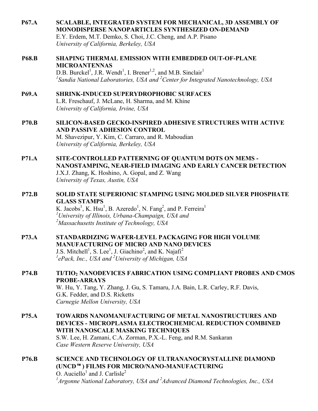**P67.A SCALABLE, INTEGRATED SYSTEM FOR MECHANICAL, 3D ASSEMBLY OF MONODISPERSE NANOPARTICLES SYNTHESIZED ON-DEMAND** E.Y. Erdem, M.T. Demko, S. Choi, J.C. Cheng, and A.P. Pisano

*University of California, Berkeley, USA*

**P68.B SHAPING THERMAL EMISSION WITH EMBEDDED OUT-OF-PLANE MICROANTENNAS** D.B. Burckel<sup>1</sup>, J.R. Wendt<sup>1</sup>, I. Brener<sup>1,2</sup>, and M.B. Sinclair<sup>1</sup>

*1 Sandia National Laboratories, USA and <sup>2</sup> Center for Integrated Nanotechnology, USA*

- **P69.A SHRINK-INDUCED SUPERYDROPHOBIC SURFACES** L.R. Freschauf, J. McLane, H. Sharma, and M. Khine *University of California, Irvine, USA*
- **P70.B SILICON-BASED GECKO-INSPIRED ADHESIVE STRUCTURES WITH ACTIVE AND PASSIVE ADHESION CONTROL** M. Shavezipur, Y. Kim, C. Carraro, and R. Maboudian *University of California, Berkeley, USA*
- **P71.A SITE-CONTROLLED PATTERNING OF QUANTUM DOTS ON MEMS - NANOSTAMPING, NEAR-FIELD IMAGING AND EARLY CANCER DETECTION** J.X.J. Zhang, K. Hoshino, A. Gopal, and Z. Wang *University of Texas, Austin, USA*
- **P72.B SOLID STATE SUPERIONIC STAMPING USING MOLDED SILVER PHOSPHATE GLASS STAMPS**

K. Jacobs<sup>1</sup>, K. Hsu<sup>1</sup>, B. Azeredo<sup>1</sup>, N. Fang<sup>2</sup>, and P. Ferreira<sup>1</sup> *1 University of Illinois, Urbana-Champaign, USA and 2 Massachusetts Institute of Technology, USA*

**P73.A STANDARDIZING WAFER-LEVEL PACKAGING FOR HIGH VOLUME MANUFACTURING OF MICRO AND NANO DEVICES** J.S. Mitchell<sup>1</sup>, S. Lee<sup>1</sup>, J. Giachino<sup>2</sup>, and K. Najafi<sup>2</sup> *1 ePack, Inc., USA and 2 University of Michigan, USA*

# **P74.B TI/TIO2 NANODEVICES FABRICATION USING COMPLIANT PROBES AND CMOS PROBE-ARRAYS** W. Hu, Y. Tang, Y. Zhang, J. Gu, S. Tamaru, J.A. Bain, L.R. Carley, R.F. Davis, G.K. Fedder, and D.S. Ricketts *Carnegie Mellon University, USA*

- **P75.A TOWARDS NANOMANUFACTURING OF METAL NANOSTRUCTURES AND DEVICES - MICROPLASMA ELECTROCHEMICAL REDUCTION COMBINED WITH NANOSCALE MASKING TECHNIQUES** S.W. Lee, H. Zamani, C.A. Zorman, P.X.-L. Feng, and R.M. Sankaran *Case Western Reserve University, USA*
- **P76.B SCIENCE AND TECHNOLOGY OF ULTRANANOCRYSTALLINE DIAMOND (UNCD) FILMS FOR MICRO/NANO-MANUFACTURING** O. Auciello<sup>1</sup> and J. Carlisle<sup>2</sup> *1 Argonne National Laboratory, USA and <sup>2</sup> Advanced Diamond Technologies, Inc., USA*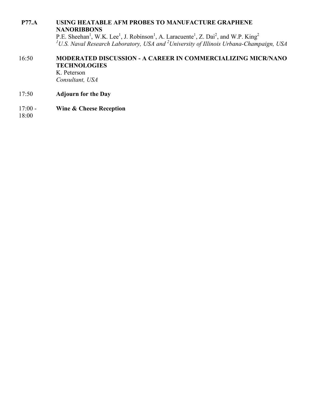#### **P77.A USING HEATABLE AFM PROBES TO MANUFACTURE GRAPHENE NANORIBBONS**

P.E. Sheehan<sup>1</sup>, W.K. Lee<sup>1</sup>, J. Robinson<sup>1</sup>, A. Laracuente<sup>1</sup>, Z. Dai<sup>2</sup>, and W.P. King<sup>2</sup><br><sup>1</sup>U.S. Naval Research Laboratory, USA and <sup>2</sup>University of Illinois Urbana-Champaign, USA

# 16:50 **MODERATED DISCUSSION - A CAREER IN COMMERCIALIZING MICR/NANO TECHNOLOGIES**

K. Peterson *Consultant, USA*

- 17:50 **Adjourn for the Day**
- 17:00 **Wine & Cheese Reception**

18:00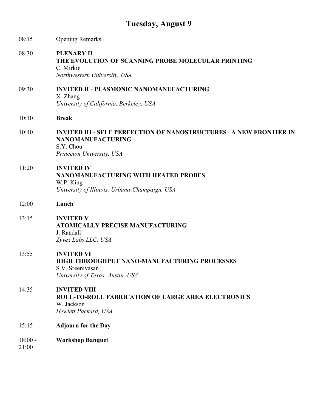# **Tuesday, August 9**

| 08:15              | <b>Opening Remarks</b>                                                                                                                          |
|--------------------|-------------------------------------------------------------------------------------------------------------------------------------------------|
| 08:30              | <b>PLENARY II</b><br>THE EVOLUTION OF SCANNING PROBE MOLECULAR PRINTING<br>C. Mirkin<br>Northwestern University, USA                            |
| 09:30              | <b>INVITED II - PLASMONIC NANOMANUFACTURING</b><br>X. Zhang<br>University of California, Berkeley, USA                                          |
| 10:10              | <b>Break</b>                                                                                                                                    |
| 10:40              | <b>INVITED III - SELF PERFECTION OF NANOSTRUCTURES- A NEW FRONTIER IN</b><br><b>NANOMANUFACTURING</b><br>S.Y. Chou<br>Princeton University, USA |
| 11:20              | <b>INVITED IV</b><br><b>NANOMANUFACTURING WITH HEATED PROBES</b><br>W.P. King<br>University of Illinois, Urbana-Champaign, USA                  |
| 12:00              | Lunch                                                                                                                                           |
| 13:15              | <b>INVITED V</b><br><b>ATOMICALLY PRECISE MANUFACTURING</b><br>J. Randall<br>Zyvex Labs LLC, USA                                                |
| 13:55              | <b>INVITED VI</b><br>HIGH THROUGHPUT NANO-MANUFACTURING PROCESSES<br>S.V. Sreenivasan<br>University of Texas, Austin, USA                       |
| 14:35              | <b>INVITED VIII</b><br>ROLL-TO-ROLL FABRICATION OF LARGE AREA ELECTRONICS<br>W. Jackson<br>Hewlett Packard, USA                                 |
| 15:15              | <b>Adjourn for the Day</b>                                                                                                                      |
| $18:00 -$<br>21:00 | <b>Workshop Banquet</b>                                                                                                                         |